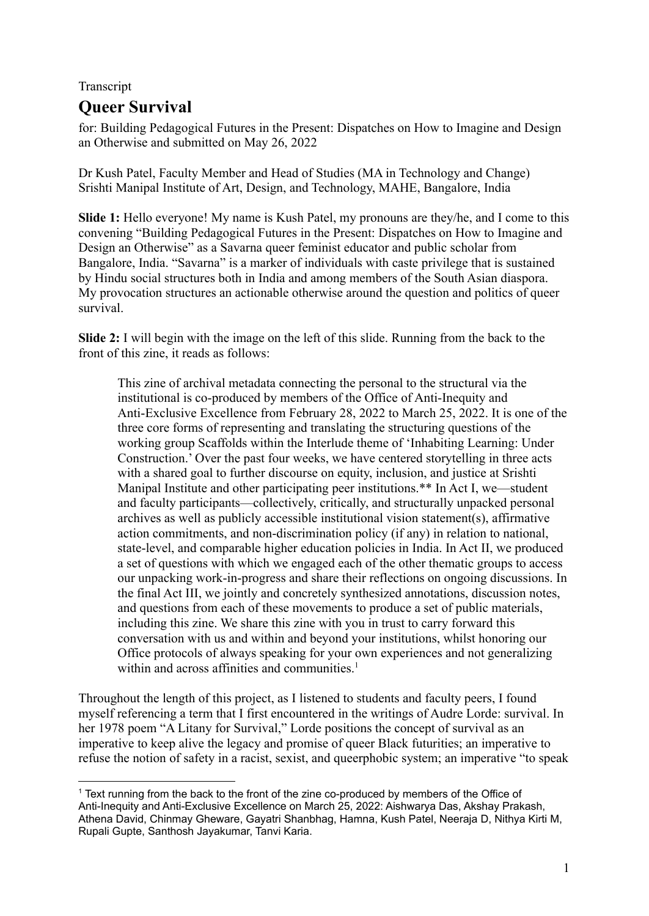## Transcript **Queer Survival**

for: Building Pedagogical Futures in the Present: Dispatches on How to Imagine and Design an Otherwise and submitted on May 26, 2022

Dr Kush Patel, Faculty Member and Head of Studies (MA in Technology and Change) Srishti Manipal Institute of Art, Design, and Technology, MAHE, Bangalore, India

**Slide 1:** Hello everyone! My name is Kush Patel, my pronouns are they/he, and I come to this convening "Building Pedagogical Futures in the Present: Dispatches on How to Imagine and Design an Otherwise" as a Savarna queer feminist educator and public scholar from Bangalore, India. "Savarna" is a marker of individuals with caste privilege that is sustained by Hindu social structures both in India and among members of the South Asian diaspora. My provocation structures an actionable otherwise around the question and politics of queer survival.

**Slide 2:** I will begin with the image on the left of this slide. Running from the back to the front of this zine, it reads as follows:

This zine of archival metadata connecting the personal to the structural via the institutional is co-produced by members of the Office of Anti-Inequity and Anti-Exclusive Excellence from February 28, 2022 to March 25, 2022. It is one of the three core forms of representing and translating the structuring questions of the working group Scaffolds within the Interlude theme of 'Inhabiting Learning: Under Construction.' Over the past four weeks, we have centered storytelling in three acts with a shared goal to further discourse on equity, inclusion, and justice at Srishti Manipal Institute and other participating peer institutions.\*\* In Act I, we—student and faculty participants—collectively, critically, and structurally unpacked personal archives as well as publicly accessible institutional vision statement(s), affirmative action commitments, and non-discrimination policy (if any) in relation to national, state-level, and comparable higher education policies in India. In Act II, we produced a set of questions with which we engaged each of the other thematic groups to access our unpacking work-in-progress and share their reflections on ongoing discussions. In the final Act III, we jointly and concretely synthesized annotations, discussion notes, and questions from each of these movements to produce a set of public materials, including this zine. We share this zine with you in trust to carry forward this conversation with us and within and beyond your institutions, whilst honoring our Office protocols of always speaking for your own experiences and not generalizing within and across affinities and communities.<sup>1</sup>

Throughout the length of this project, as I listened to students and faculty peers, I found myself referencing a term that I first encountered in the writings of Audre Lorde: survival. In her 1978 poem "A Litany for Survival," Lorde positions the concept of survival as an imperative to keep alive the legacy and promise of queer Black futurities; an imperative to refuse the notion of safety in a racist, sexist, and queerphobic system; an imperative "to speak

<sup>1</sup> Text running from the back to the front of the zine co-produced by members of the Office of Anti-Inequity and Anti-Exclusive Excellence on March 25, 2022: Aishwarya Das, Akshay Prakash, Athena David, Chinmay Gheware, Gayatri Shanbhag, Hamna, Kush Patel, Neeraja D, Nithya Kirti M, Rupali Gupte, Santhosh Jayakumar, Tanvi Karia.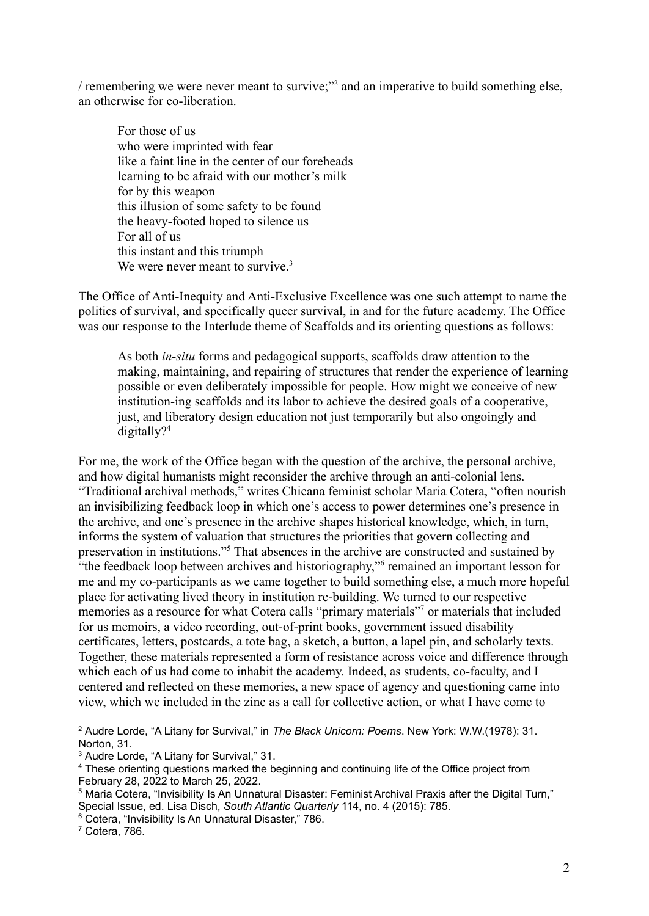/ remembering we were never meant to survive;"<sup>2</sup> and an imperative to build something else, an otherwise for co-liberation.

For those of us who were imprinted with fear like a faint line in the center of our foreheads learning to be afraid with our mother's milk for by this weapon this illusion of some safety to be found the heavy-footed hoped to silence us For all of us this instant and this triumph We were never meant to survive.<sup>3</sup>

The Office of Anti-Inequity and Anti-Exclusive Excellence was one such attempt to name the politics of survival, and specifically queer survival, in and for the future academy. The Office was our response to the Interlude theme of Scaffolds and its orienting questions as follows:

As both *in-situ* forms and pedagogical supports, scaffolds draw attention to the making, maintaining, and repairing of structures that render the experience of learning possible or even deliberately impossible for people. How might we conceive of new institution-ing scaffolds and its labor to achieve the desired goals of a cooperative, just, and liberatory design education not just temporarily but also ongoingly and digitally? $4$ 

For me, the work of the Office began with the question of the archive, the personal archive, and how digital humanists might reconsider the archive through an anti-colonial lens. "Traditional archival methods," writes Chicana feminist scholar Maria Cotera, "often nourish an invisibilizing feedback loop in which one's access to power determines one's presence in the archive, and one's presence in the archive shapes historical knowledge, which, in turn, informs the system of valuation that structures the priorities that govern collecting and preservation in institutions."<sup>5</sup> That absences in the archive are constructed and sustained by "the feedback loop between archives and historiography,"<sup>6</sup> remained an important lesson for me and my co-participants as we came together to build something else, a much more hopeful place for activating lived theory in institution re-building. We turned to our respective memories as a resource for what Cotera calls "primary materials"<sup>7</sup> or materials that included for us memoirs, a video recording, out-of-print books, government issued disability certificates, letters, postcards, a tote bag, a sketch, a button, a lapel pin, and scholarly texts. Together, these materials represented a form of resistance across voice and difference through which each of us had come to inhabit the academy. Indeed, as students, co-faculty, and I centered and reflected on these memories, a new space of agency and questioning came into view, which we included in the zine as a call for collective action, or what I have come to

<sup>6</sup> Cotera, "Invisibility Is An Unnatural Disaster," 786.

<sup>2</sup> Audre Lorde, "A Litany for Survival," in *The Black Unicorn: Poems*. New York: W.W.(1978): 31. Norton, 31.

<sup>&</sup>lt;sup>3</sup> Audre Lorde, "A Litany for Survival," 31.

<sup>&</sup>lt;sup>4</sup> These orienting questions marked the beginning and continuing life of the Office project from February 28, 2022 to March 25, 2022.

<sup>5</sup> Maria Cotera, "Invisibility Is An Unnatural Disaster: Feminist Archival Praxis after the Digital Turn," Special Issue, ed. Lisa Disch, *South Atlantic Quarterly* 114, no. 4 (2015): 785.

<sup>7</sup> Cotera, 786.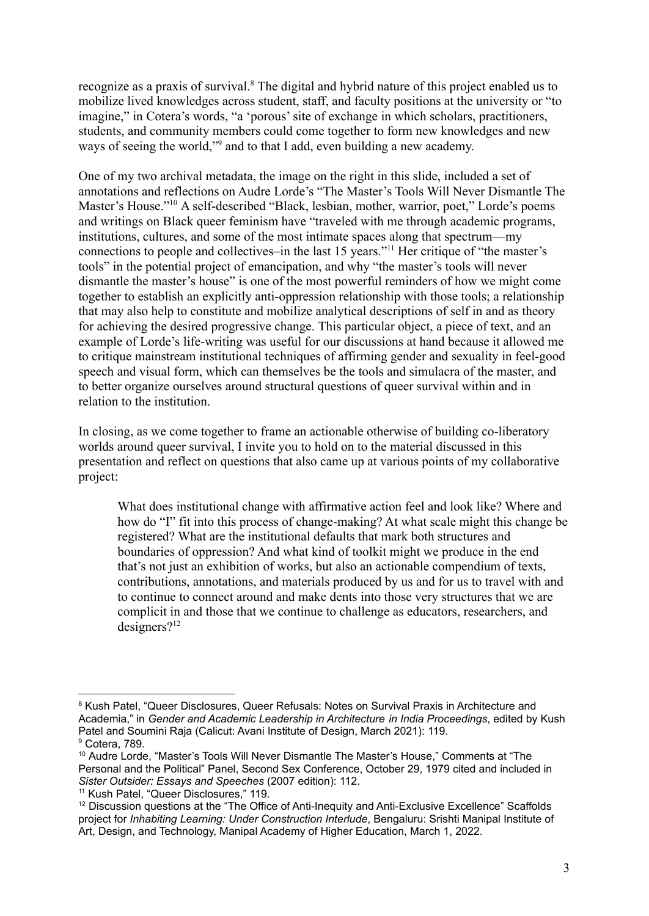recognize as a praxis of survival.<sup>8</sup> The digital and hybrid nature of this project enabled us to mobilize lived knowledges across student, staff, and faculty positions at the university or "to imagine," in Cotera's words, "a 'porous' site of exchange in which scholars, practitioners, students, and community members could come together to form new knowledges and new ways of seeing the world,"<sup>9</sup> and to that I add, even building a new academy.

One of my two archival metadata, the image on the right in this slide, included a set of annotations and reflections on Audre Lorde's "The Master's Tools Will Never Dismantle The Master's House."<sup>10</sup> A self-described "Black, lesbian, mother, warrior, poet," Lorde's poems and writings on Black queer feminism have "traveled with me through academic programs, institutions, cultures, and some of the most intimate spaces along that spectrum—my connections to people and collectives–in the last 15 years."<sup>11</sup> Her critique of "the master's tools" in the potential project of emancipation, and why "the master's tools will never dismantle the master's house" is one of the most powerful reminders of how we might come together to establish an explicitly anti-oppression relationship with those tools; a relationship that may also help to constitute and mobilize analytical descriptions of self in and as theory for achieving the desired progressive change. This particular object, a piece of text, and an example of Lorde's life-writing was useful for our discussions at hand because it allowed me to critique mainstream institutional techniques of affirming gender and sexuality in feel-good speech and visual form, which can themselves be the tools and simulacra of the master, and to better organize ourselves around structural questions of queer survival within and in relation to the institution.

In closing, as we come together to frame an actionable otherwise of building co-liberatory worlds around queer survival, I invite you to hold on to the material discussed in this presentation and reflect on questions that also came up at various points of my collaborative project:

What does institutional change with affirmative action feel and look like? Where and how do "I" fit into this process of change-making? At what scale might this change be registered? What are the institutional defaults that mark both structures and boundaries of oppression? And what kind of toolkit might we produce in the end that's not just an exhibition of works, but also an actionable compendium of texts, contributions, annotations, and materials produced by us and for us to travel with and to continue to connect around and make dents into those very structures that we are complicit in and those that we continue to challenge as educators, researchers, and designers?<sup>12</sup>

<sup>9</sup> Cotera, 789. <sup>8</sup> Kush Patel, "Queer Disclosures, Queer Refusals: Notes on Survival Praxis in Architecture and Academia," in *Gender and Academic Leadership in Architecture in India Proceedings*, edited by Kush Patel and Soumini Raja (Calicut: Avani Institute of Design, March 2021): 119.

<sup>&</sup>lt;sup>10</sup> Audre Lorde, "Master's Tools Will Never Dismantle The Master's House," Comments at "The Personal and the Political" Panel, Second Sex Conference, October 29, 1979 cited and included in *Sister Outsider: Essays and Speeches* (2007 edition): 112.

<sup>&</sup>lt;sup>11</sup> Kush Patel, "Queer Disclosures," 119.

<sup>&</sup>lt;sup>12</sup> Discussion questions at the "The Office of Anti-Inequity and Anti-Exclusive Excellence" Scaffolds project for *Inhabiting Learning: Under Construction Interlude*, Bengaluru: Srishti Manipal Institute of Art, Design, and Technology, Manipal Academy of Higher Education, March 1, 2022.